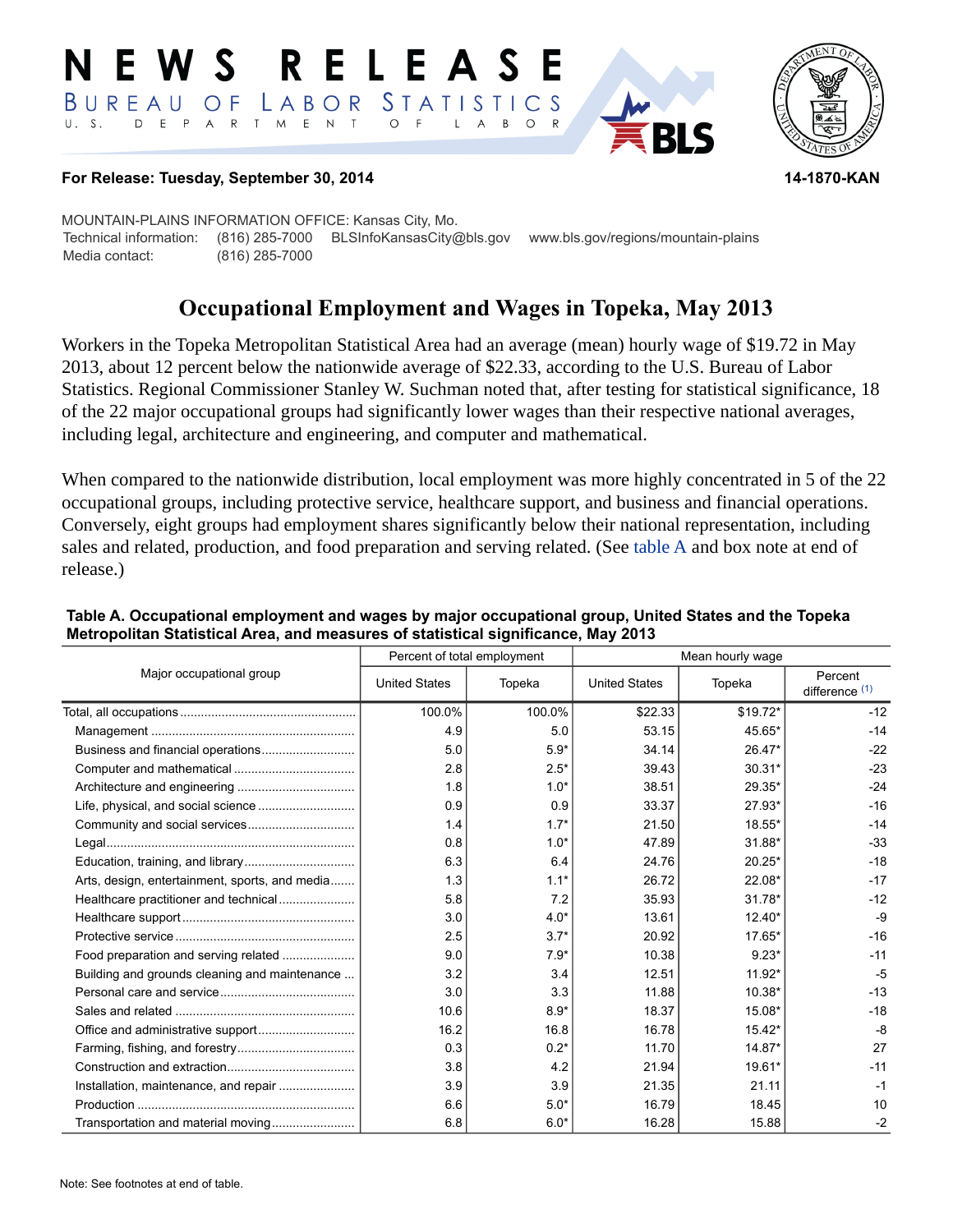#### RELEAS EWS BUREAU STATISTICS O F LABOR D E P A R T M E N T  $\circ$  $U. S.$  $\overline{F}$  $\mathsf{L}$  $\mathsf{A}$  $B$  $\circ$



#### **For Release: Tuesday, September 30, 2014 14-1870-KAN**

MOUNTAIN-PLAINS INFORMATION OFFICE: Kansas City, Mo. Technical information: (816) 285-7000 BLSInfoKansasCity@bls.gov www.bls.gov/regions/mountain-plains Media contact: (816) 285-7000

# **Occupational Employment and Wages in Topeka, May 2013**

Workers in the Topeka Metropolitan Statistical Area had an average (mean) hourly wage of \$19.72 in May 2013, about 12 percent below the nationwide average of \$22.33, according to the U.S. Bureau of Labor Statistics. Regional Commissioner Stanley W. Suchman noted that, after testing for statistical significance, 18 of the 22 major occupational groups had significantly lower wages than their respective national averages, including legal, architecture and engineering, and computer and mathematical.

When compared to the nationwide distribution, local employment was more highly concentrated in 5 of the 22 occupational groups, including protective service, healthcare support, and business and financial operations. Conversely, eight groups had employment shares significantly below their national representation, including sales and related, production, and food preparation and serving related. (See [table A](#page-0-0) and box note at end of release.)

| Major occupational group                       | Percent of total employment |        | Mean hourly wage     |          |                             |
|------------------------------------------------|-----------------------------|--------|----------------------|----------|-----------------------------|
|                                                | <b>United States</b>        | Topeka | <b>United States</b> | Topeka   | Percent<br>difference $(1)$ |
|                                                | 100.0%                      | 100.0% | \$22.33              | \$19.72* | $-12$                       |
|                                                | 4.9                         | 5.0    | 53.15                | 45.65*   | $-14$                       |
|                                                | 5.0                         | $5.9*$ | 34.14                | 26.47*   | $-22$                       |
|                                                | 2.8                         | $2.5*$ | 39.43                | $30.31*$ | $-23$                       |
|                                                | 1.8                         | $1.0*$ | 38.51                | 29.35*   | $-24$                       |
|                                                | 0.9                         | 0.9    | 33.37                | $27.93*$ | $-16$                       |
|                                                | 1.4                         | $1.7*$ | 21.50                | 18.55*   | $-14$                       |
|                                                | 0.8                         | $1.0*$ | 47.89                | 31.88*   | $-33$                       |
|                                                | 6.3                         | 6.4    | 24.76                | $20.25*$ | $-18$                       |
| Arts, design, entertainment, sports, and media | 1.3                         | $1.1*$ | 26.72                | 22.08*   | $-17$                       |
| Healthcare practitioner and technical          | 5.8                         | 7.2    | 35.93                | $31.78*$ | $-12$                       |
|                                                | 3.0                         | $4.0*$ | 13.61                | $12.40*$ | $-9$                        |
|                                                | 2.5                         | $3.7*$ | 20.92                | $17.65*$ | $-16$                       |
| Food preparation and serving related           | 9.0                         | $7.9*$ | 10.38                | $9.23*$  | $-11$                       |
| Building and grounds cleaning and maintenance  | 3.2                         | 3.4    | 12.51                | $11.92*$ | $-5$                        |
|                                                | 3.0                         | 3.3    | 11.88                | 10.38*   | $-13$                       |
|                                                | 10.6                        | $8.9*$ | 18.37                | 15.08*   | $-18$                       |
|                                                | 16.2                        | 16.8   | 16.78                | $15.42*$ | -8                          |
|                                                | 0.3                         | $0.2*$ | 11.70                | $14.87*$ | 27                          |
|                                                | 3.8                         | 4.2    | 21.94                | 19.61*   | $-11$                       |
|                                                | 3.9                         | 3.9    | 21.35                | 21.11    | $-1$                        |
|                                                | 6.6                         | $5.0*$ | 16.79                | 18.45    | 10                          |
| Transportation and material moving             | 6.8                         | $6.0*$ | 16.28                | 15.88    | $-2$                        |

#### <span id="page-0-0"></span>**Table A. Occupational employment and wages by major occupational group, United States and the Topeka Metropolitan Statistical Area, and measures of statistical significance, May 2013**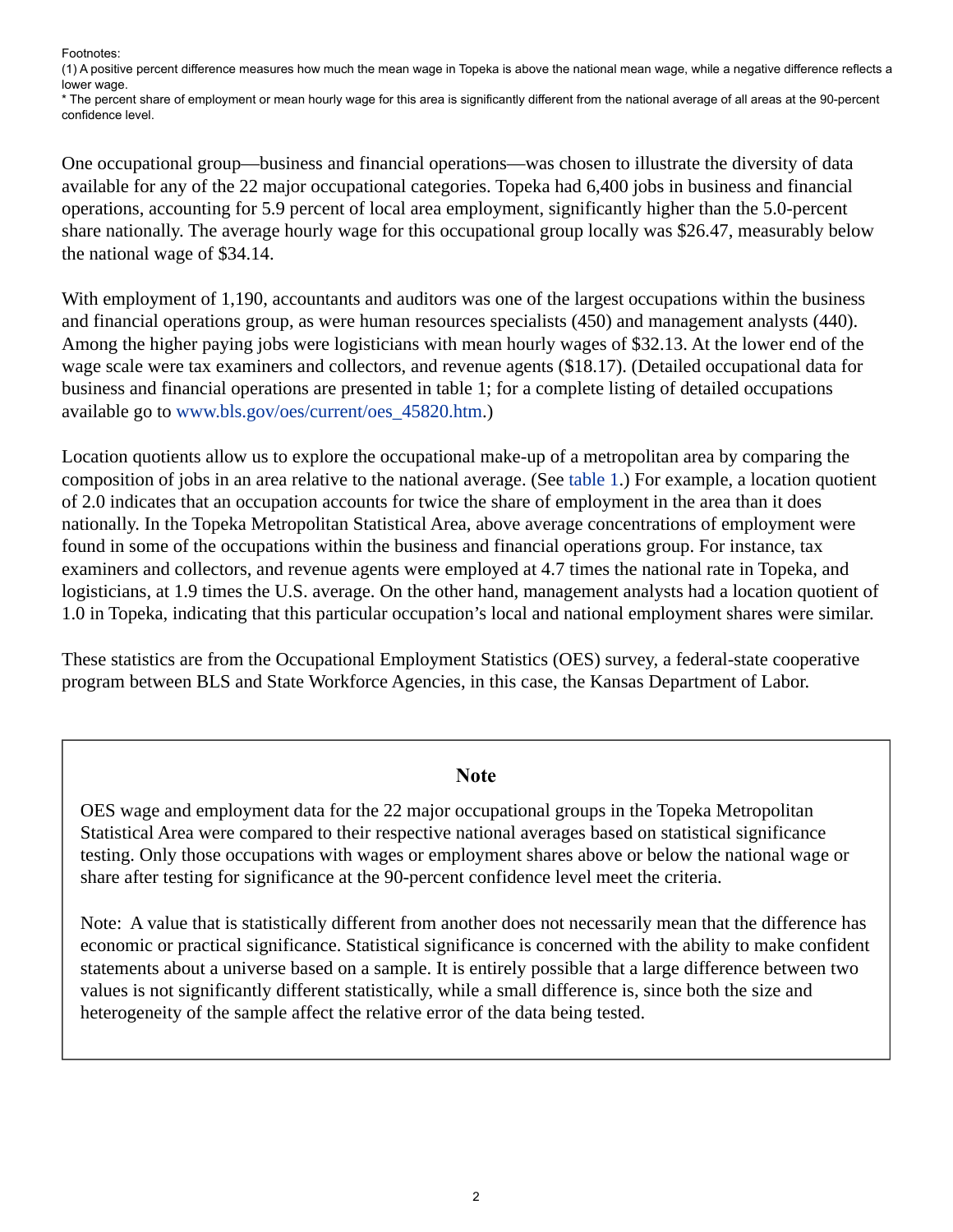Footnotes:

<span id="page-1-0"></span>(1) A positive percent difference measures how much the mean wage in Topeka is above the national mean wage, while a negative difference reflects a lower wage.

\* The percent share of employment or mean hourly wage for this area is significantly different from the national average of all areas at the 90-percent confidence level.

One occupational group—business and financial operations—was chosen to illustrate the diversity of data available for any of the 22 major occupational categories. Topeka had 6,400 jobs in business and financial operations, accounting for 5.9 percent of local area employment, significantly higher than the 5.0-percent share nationally. The average hourly wage for this occupational group locally was \$26.47, measurably below the national wage of \$34.14.

With employment of 1,190, accountants and auditors was one of the largest occupations within the business and financial operations group, as were human resources specialists (450) and management analysts (440). Among the higher paying jobs were logisticians with mean hourly wages of \$32.13. At the lower end of the wage scale were tax examiners and collectors, and revenue agents (\$18.17). (Detailed occupational data for business and financial operations are presented in table 1; for a complete listing of detailed occupations available go to [www.bls.gov/oes/current/oes\\_45820.htm](https://www.bls.gov/oes/current/oes_45820.htm).)

Location quotients allow us to explore the occupational make-up of a metropolitan area by comparing the composition of jobs in an area relative to the national average. (See [table 1.](#page-3-0)) For example, a location quotient of 2.0 indicates that an occupation accounts for twice the share of employment in the area than it does nationally. In the Topeka Metropolitan Statistical Area, above average concentrations of employment were found in some of the occupations within the business and financial operations group. For instance, tax examiners and collectors, and revenue agents were employed at 4.7 times the national rate in Topeka, and logisticians, at 1.9 times the U.S. average. On the other hand, management analysts had a location quotient of 1.0 in Topeka, indicating that this particular occupation's local and national employment shares were similar.

These statistics are from the Occupational Employment Statistics (OES) survey, a federal-state cooperative program between BLS and State Workforce Agencies, in this case, the Kansas Department of Labor.

## **Note**

OES wage and employment data for the 22 major occupational groups in the Topeka Metropolitan Statistical Area were compared to their respective national averages based on statistical significance testing. Only those occupations with wages or employment shares above or below the national wage or share after testing for significance at the 90-percent confidence level meet the criteria.

Note: A value that is statistically different from another does not necessarily mean that the difference has economic or practical significance. Statistical significance is concerned with the ability to make confident statements about a universe based on a sample. It is entirely possible that a large difference between two values is not significantly different statistically, while a small difference is, since both the size and heterogeneity of the sample affect the relative error of the data being tested.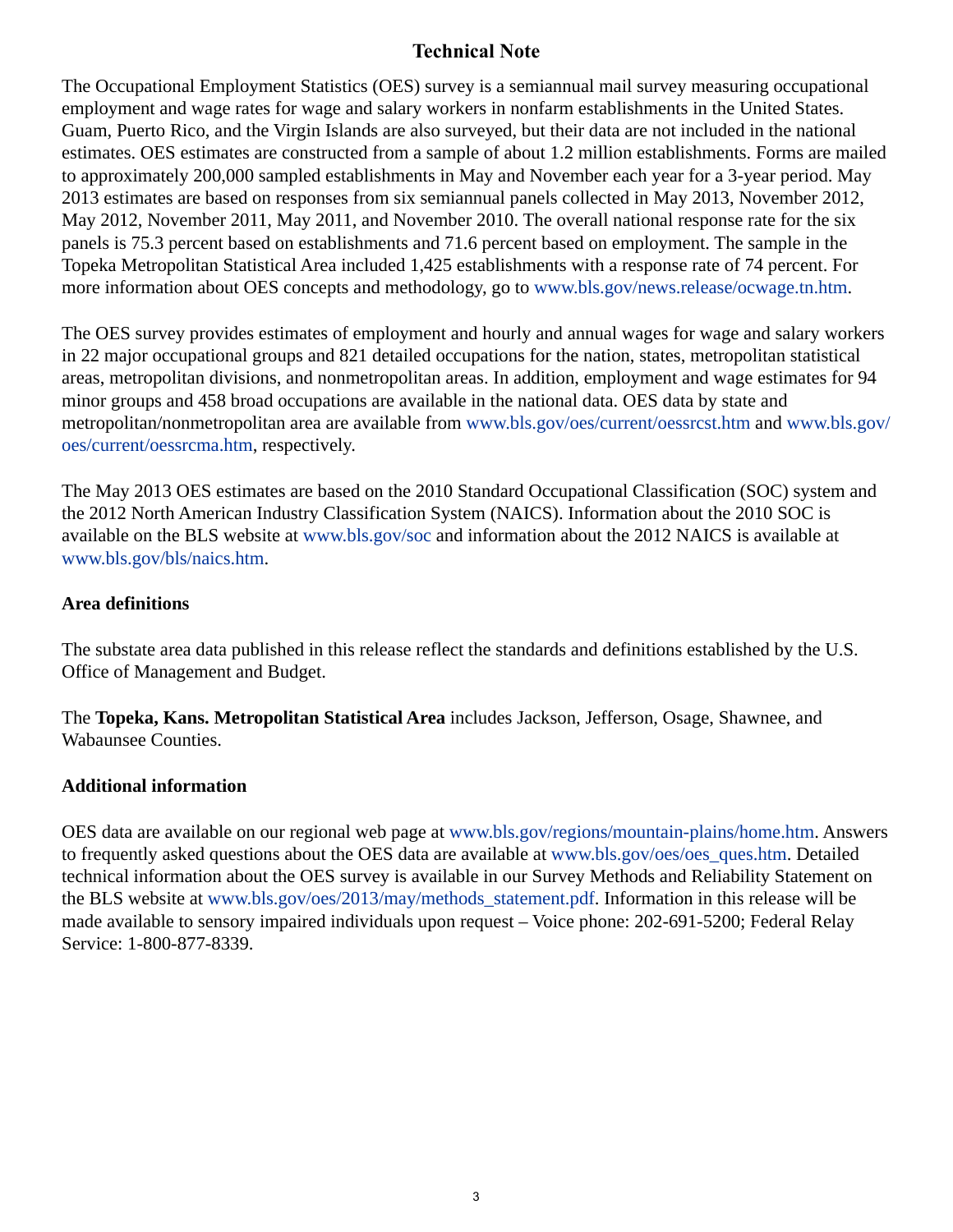# **Technical Note**

The Occupational Employment Statistics (OES) survey is a semiannual mail survey measuring occupational employment and wage rates for wage and salary workers in nonfarm establishments in the United States. Guam, Puerto Rico, and the Virgin Islands are also surveyed, but their data are not included in the national estimates. OES estimates are constructed from a sample of about 1.2 million establishments. Forms are mailed to approximately 200,000 sampled establishments in May and November each year for a 3-year period. May 2013 estimates are based on responses from six semiannual panels collected in May 2013, November 2012, May 2012, November 2011, May 2011, and November 2010. The overall national response rate for the six panels is 75.3 percent based on establishments and 71.6 percent based on employment. The sample in the Topeka Metropolitan Statistical Area included 1,425 establishments with a response rate of 74 percent. For more information about OES concepts and methodology, go to [www.bls.gov/news.release/ocwage.tn.htm.](https://www.bls.gov/news.release/ocwage.tn.htm)

The OES survey provides estimates of employment and hourly and annual wages for wage and salary workers in 22 major occupational groups and 821 detailed occupations for the nation, states, metropolitan statistical areas, metropolitan divisions, and nonmetropolitan areas. In addition, employment and wage estimates for 94 minor groups and 458 broad occupations are available in the national data. OES data by state and metropolitan/nonmetropolitan area are available from [www.bls.gov/oes/current/oessrcst.htm](https://www.bls.gov/oes/current/oessrcst.htm) and [www.bls.gov/](https://www.bls.gov/oes/current/oessrcma.htm) [oes/current/oessrcma.htm,](https://www.bls.gov/oes/current/oessrcma.htm) respectively.

The May 2013 OES estimates are based on the 2010 Standard Occupational Classification (SOC) system and the 2012 North American Industry Classification System (NAICS). Information about the 2010 SOC is available on the BLS website at [www.bls.gov/soc](https://www.bls.gov/soc) and information about the 2012 NAICS is available at [www.bls.gov/bls/naics.htm.](https://www.bls.gov/bls/naics.htm)

# **Area definitions**

The substate area data published in this release reflect the standards and definitions established by the U.S. Office of Management and Budget.

The **Topeka, Kans. Metropolitan Statistical Area** includes Jackson, Jefferson, Osage, Shawnee, and Wabaunsee Counties.

## **Additional information**

OES data are available on our regional web page at [www.bls.gov/regions/mountain-plains/home.htm](http://www.bls.gov/regions/mountain-plains/home.htm). Answers to frequently asked questions about the OES data are available at [www.bls.gov/oes/oes\\_ques.htm.](https://www.bls.gov/oes/oes_ques.htm) Detailed technical information about the OES survey is available in our Survey Methods and Reliability Statement on the BLS website at [www.bls.gov/oes/2013/may/methods\\_statement.pdf](https://www.bls.gov/oes/2013/may/methods_statement.pdf). Information in this release will be made available to sensory impaired individuals upon request – Voice phone: 202-691-5200; Federal Relay Service: 1-800-877-8339.